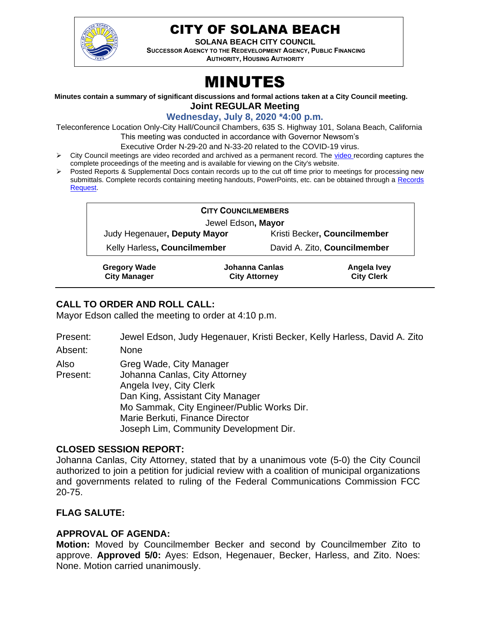

# CITY OF SOLANA BEACH

**SOLANA BEACH CITY COUNCIL SUCCESSOR AGENCY TO THE REDEVELOPMENT AGENCY, PUBLIC FINANCING** 

**AUTHORITY, HOUSING AUTHORITY** 

# MINUTES

#### **Minutes contain a summary of significant discussions and formal actions taken at a City Council meeting. Joint REGULAR Meeting**

**Wednesday, July 8, 2020 \*4:00 p.m.**

Teleconference Location Only-City Hall/Council Chambers, 635 S. Highway 101, Solana Beach, California

This meeting was conducted in accordance with Governor Newsom's

- Executive Order N-29-20 and N-33-20 related to the COVID-19 virus.  $\triangleright$  City Council meetings are [video r](https://solanabeach.12milesout.com/#page=1)ecorded and archived as a permanent record. The video recording captures the
	- complete proceedings of the meeting and is available for viewing on the City's website.
- ➢ Posted Reports & Supplemental Docs contain records up to the cut off time prior to meetings for processing new submittals. Complete records containing meeting handouts, PowerPoints, etc. can be obtained through a Records [Request.](http://www.ci.solana-beach.ca.us/index.asp?SEC=F5D45D10-70CE-4291-A27C-7BD633FC6742&Type=B_BASIC)

| <b>CITY COUNCILMEMBERS</b>   |  |                |                              |  |  |
|------------------------------|--|----------------|------------------------------|--|--|
| Jewel Edson, Mayor           |  |                |                              |  |  |
| Judy Hegenauer, Deputy Mayor |  |                | Kristi Becker, Councilmember |  |  |
| Kelly Harless, Councilmember |  |                | David A. Zito, Councilmember |  |  |
| <b>Gregory Wade</b>          |  | Johanna Canlas | Angela Ivey                  |  |  |

**City Attorney**

**City Clerk**

**Gregory Wade City Manager**

# **CALL TO ORDER AND ROLL CALL:**

Mayor Edson called the meeting to order at 4:10 p.m.

| Present: | Jewel Edson, Judy Hegenauer, Kristi Becker, Kelly Harless, David A. Zito |
|----------|--------------------------------------------------------------------------|
| .        |                                                                          |

Absent: None

| Also     | Greg Wade, City Manager                    |
|----------|--------------------------------------------|
| Present: | Johanna Canlas, City Attorney              |
|          | Angela Ivey, City Clerk                    |
|          | Dan King, Assistant City Manager           |
|          | Mo Sammak, City Engineer/Public Works Dir. |
|          | Marie Berkuti, Finance Director            |
|          | Joseph Lim, Community Development Dir.     |

#### **CLOSED SESSION REPORT:**

Johanna Canlas, City Attorney, stated that by a unanimous vote (5-0) the City Council authorized to join a petition for judicial review with a coalition of municipal organizations and governments related to ruling of the Federal Communications Commission FCC 20-75.

#### **FLAG SALUTE:**

## **APPROVAL OF AGENDA:**

**Motion:** Moved by Councilmember Becker and second by Councilmember Zito to approve. **Approved 5/0:** Ayes: Edson, Hegenauer, Becker, Harless, and Zito. Noes: None. Motion carried unanimously.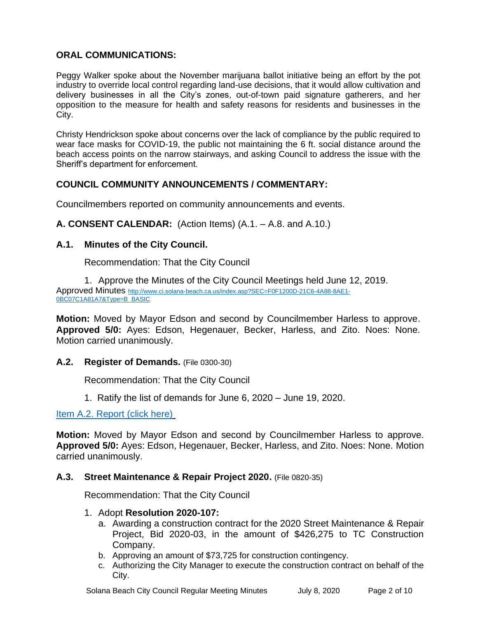# **ORAL COMMUNICATIONS:**

Peggy Walker spoke about the November marijuana ballot initiative being an effort by the pot industry to override local control regarding land-use decisions, that it would allow cultivation and delivery businesses in all the City's zones, out-of-town paid signature gatherers, and her opposition to the measure for health and safety reasons for residents and businesses in the City.

Christy Hendrickson spoke about concerns over the lack of compliance by the public required to wear face masks for COVID-19, the public not maintaining the 6 ft. social distance around the beach access points on the narrow stairways, and asking Council to address the issue with the Sheriff's department for enforcement.

## **COUNCIL COMMUNITY ANNOUNCEMENTS / COMMENTARY:**

Councilmembers reported on community announcements and events.

**A. CONSENT CALENDAR:** (Action Items) (A.1. – A.8. and A.10.)

#### **A.1. Minutes of the City Council.**

Recommendation: That the City Council

1. Approve the Minutes of the City Council Meetings held June 12, 2019. Approved Minutes [http://www.ci.solana-beach.ca.us/index.asp?SEC=F0F1200D-21C6-4A88-8AE1-](http://www.ci.solana-beach.ca.us/index.asp?SEC=F0F1200D-21C6-4A88-8AE1-0BC07C1A81A7&Type=B_BASIC) [0BC07C1A81A7&Type=B\\_BASIC](http://www.ci.solana-beach.ca.us/index.asp?SEC=F0F1200D-21C6-4A88-8AE1-0BC07C1A81A7&Type=B_BASIC)

**Motion:** Moved by Mayor Edson and second by Councilmember Harless to approve. **Approved 5/0:** Ayes: Edson, Hegenauer, Becker, Harless, and Zito. Noes: None. Motion carried unanimously.

#### **A.2. Register of Demands.** (File 0300-30)

Recommendation: That the City Council

1. Ratify the list of demands for June 6, 2020 – June 19, 2020.

[Item A.2. Report \(click here\)](https://solanabeach.govoffice3.com/vertical/Sites/%7B840804C2-F869-4904-9AE3-720581350CE7%7D/uploads/Item_A.2._Report_(click_here)_07-08-20_-_O.pdf)

**Motion:** Moved by Mayor Edson and second by Councilmember Harless to approve. **Approved 5/0:** Ayes: Edson, Hegenauer, Becker, Harless, and Zito. Noes: None. Motion carried unanimously.

#### **A.3. Street Maintenance & Repair Project 2020.** (File 0820-35)

Recommendation: That the City Council

#### 1. Adopt **Resolution 2020-107:**

- a. Awarding a construction contract for the 2020 Street Maintenance & Repair Project, Bid 2020-03, in the amount of \$426,275 to TC Construction Company.
- b. Approving an amount of \$73,725 for construction contingency.
- c. Authorizing the City Manager to execute the construction contract on behalf of the City.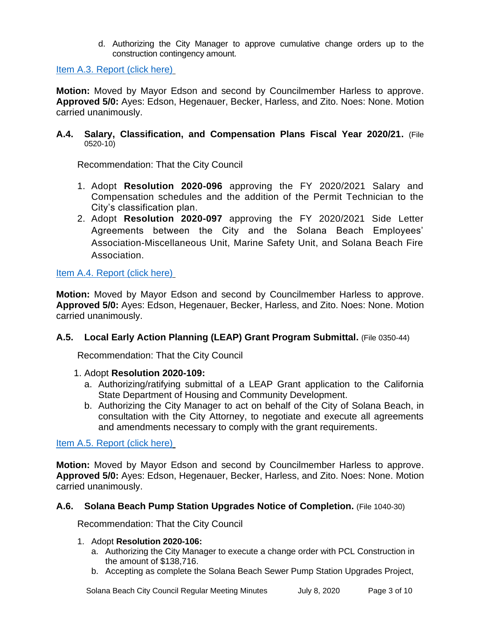d. Authorizing the City Manager to approve cumulative change orders up to the construction contingency amount.

[Item A.3. Report \(click here\)](https://solanabeach.govoffice3.com/vertical/Sites/%7B840804C2-F869-4904-9AE3-720581350CE7%7D/uploads/Item_A.3._Report_(click_here)_07-08-20_-_O.pdf)

**Motion:** Moved by Mayor Edson and second by Councilmember Harless to approve. **Approved 5/0:** Ayes: Edson, Hegenauer, Becker, Harless, and Zito. Noes: None. Motion carried unanimously.

#### **A.4. Salary, Classification, and Compensation Plans Fiscal Year 2020/21.** (File 0520-10)

Recommendation: That the City Council

- 1. Adopt **Resolution 2020-096** approving the FY 2020/2021 Salary and Compensation schedules and the addition of the Permit Technician to the City's classification plan.
- 2. Adopt **Resolution 2020-097** approving the FY 2020/2021 Side Letter Agreements between the City and the Solana Beach Employees' Association-Miscellaneous Unit, Marine Safety Unit, and Solana Beach Fire Association.

## [Item A.4. Report \(click here\)](https://solanabeach.govoffice3.com/vertical/Sites/%7B840804C2-F869-4904-9AE3-720581350CE7%7D/uploads/Item_A.4._Report_(click_here)_07-08-02-Att9_Placeholder_-_O.pdf)

**Motion:** Moved by Mayor Edson and second by Councilmember Harless to approve. **Approved 5/0:** Ayes: Edson, Hegenauer, Becker, Harless, and Zito. Noes: None. Motion carried unanimously.

#### **A.5. Local Early Action Planning (LEAP) Grant Program Submittal.** (File 0350-44)

Recommendation: That the City Council

#### 1. Adopt **Resolution 2020-109:**

- a. Authorizing/ratifying submittal of a LEAP Grant application to the California State Department of Housing and Community Development.
- b. Authorizing the City Manager to act on behalf of the City of Solana Beach, in consultation with the City Attorney, to negotiate and execute all agreements and amendments necessary to comply with the grant requirements.

[Item A.5. Report \(click here\)](https://solanabeach.govoffice3.com/vertical/Sites/%7B840804C2-F869-4904-9AE3-720581350CE7%7D/uploads/Item_A.5._Report_(click_here)_07-08-20_-_O.pdf)

**Motion:** Moved by Mayor Edson and second by Councilmember Harless to approve. **Approved 5/0:** Ayes: Edson, Hegenauer, Becker, Harless, and Zito. Noes: None. Motion carried unanimously.

#### **A.6. Solana Beach Pump Station Upgrades Notice of Completion.** (File 1040-30)

Recommendation: That the City Council

#### 1. Adopt **Resolution 2020-106:**

- a. Authorizing the City Manager to execute a change order with PCL Construction in the amount of \$138,716.
- b. Accepting as complete the Solana Beach Sewer Pump Station Upgrades Project,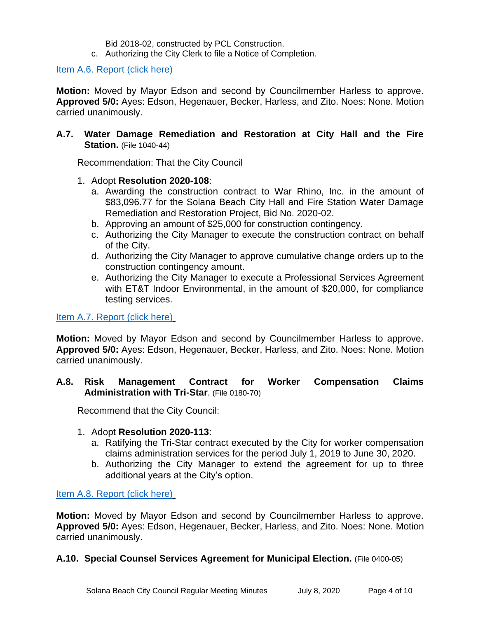Bid 2018-02, constructed by PCL Construction.

c. Authorizing the City Clerk to file a Notice of Completion.

[Item A.6. Report \(click here\)](https://solanabeach.govoffice3.com/vertical/Sites/%7B840804C2-F869-4904-9AE3-720581350CE7%7D/uploads/Item_A.6._Report_(click_here)_07-08-20_-_O.pdf)

**Motion:** Moved by Mayor Edson and second by Councilmember Harless to approve. **Approved 5/0:** Ayes: Edson, Hegenauer, Becker, Harless, and Zito. Noes: None. Motion carried unanimously.

#### **A.7. Water Damage Remediation and Restoration at City Hall and the Fire Station.** (File 1040-44)

Recommendation: That the City Council

- 1. Adopt **Resolution 2020-108**:
	- a. Awarding the construction contract to War Rhino, Inc. in the amount of \$83,096.77 for the Solana Beach City Hall and Fire Station Water Damage Remediation and Restoration Project, Bid No. 2020-02.
	- b. Approving an amount of \$25,000 for construction contingency.
	- c. Authorizing the City Manager to execute the construction contract on behalf of the City.
	- d. Authorizing the City Manager to approve cumulative change orders up to the construction contingency amount.
	- e. Authorizing the City Manager to execute a Professional Services Agreement with ET&T Indoor Environmental, in the amount of \$20,000, for compliance testing services.

[Item A.7. Report \(click](https://solanabeach.govoffice3.com/vertical/Sites/%7B840804C2-F869-4904-9AE3-720581350CE7%7D/uploads/Item_A.7._Report_(click_here)_07-08-20_-_O.pdf) here)

**Motion:** Moved by Mayor Edson and second by Councilmember Harless to approve. **Approved 5/0:** Ayes: Edson, Hegenauer, Becker, Harless, and Zito. Noes: None. Motion carried unanimously.

#### **A.8. Risk Management Contract for Worker Compensation Claims Administration with Tri-Star**. (File 0180-70)

Recommend that the City Council:

- 1. Adopt **Resolution 2020-113**:
	- a. Ratifying the Tri-Star contract executed by the City for worker compensation claims administration services for the period July 1, 2019 to June 30, 2020.
	- b. Authorizing the City Manager to extend the agreement for up to three additional years at the City's option.

[Item A.8. Report \(click here\)](https://solanabeach.govoffice3.com/vertical/Sites/%7B840804C2-F869-4904-9AE3-720581350CE7%7D/uploads/Item_A.8._Report_(click_here)_07-08-20.pdf)

**Motion:** Moved by Mayor Edson and second by Councilmember Harless to approve. **Approved 5/0:** Ayes: Edson, Hegenauer, Becker, Harless, and Zito. Noes: None. Motion carried unanimously.

#### **A.10. Special Counsel Services Agreement for Municipal Election.** (File 0400-05)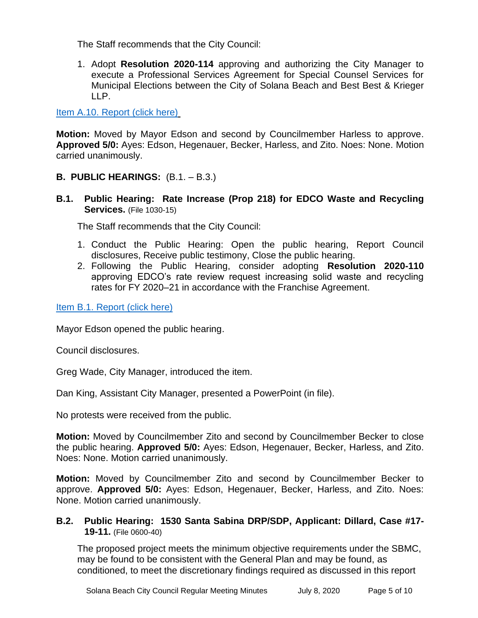The Staff recommends that the City Council:

1. Adopt **Resolution 2020-114** approving and authorizing the City Manager to execute a Professional Services Agreement for Special Counsel Services for Municipal Elections between the City of Solana Beach and Best Best & Krieger  $IIP.$ 

[Item A.10. Report \(click here\)](https://solanabeach.govoffice3.com/vertical/Sites/%7B840804C2-F869-4904-9AE3-720581350CE7%7D/uploads/Item_A.10._Report_(click_here)_07-08-20_-_O.pdf)

**Motion:** Moved by Mayor Edson and second by Councilmember Harless to approve. **Approved 5/0:** Ayes: Edson, Hegenauer, Becker, Harless, and Zito. Noes: None. Motion carried unanimously.

- **B. PUBLIC HEARINGS:** (B.1. B.3.)
- **B.1. Public Hearing: Rate Increase (Prop 218) for EDCO Waste and Recycling Services.** (File 1030-15)

The Staff recommends that the City Council:

- 1. Conduct the Public Hearing: Open the public hearing, Report Council disclosures, Receive public testimony, Close the public hearing.
- 2. Following the Public Hearing, consider adopting **Resolution 2020-110** approving EDCO's rate review request increasing solid waste and recycling rates for FY 2020–21 in accordance with the Franchise Agreement.

[Item B.1. Report \(click here\)](https://solanabeach.govoffice3.com/vertical/Sites/%7B840804C2-F869-4904-9AE3-720581350CE7%7D/uploads/Item_B.1._Report_(click_here)_07-08-20_-_O.pdf)

Mayor Edson opened the public hearing.

Council disclosures.

Greg Wade, City Manager, introduced the item.

Dan King, Assistant City Manager, presented a PowerPoint (in file).

No protests were received from the public.

**Motion:** Moved by Councilmember Zito and second by Councilmember Becker to close the public hearing. **Approved 5/0:** Ayes: Edson, Hegenauer, Becker, Harless, and Zito. Noes: None. Motion carried unanimously.

**Motion:** Moved by Councilmember Zito and second by Councilmember Becker to approve. **Approved 5/0:** Ayes: Edson, Hegenauer, Becker, Harless, and Zito. Noes: None. Motion carried unanimously.

**B.2. Public Hearing: 1530 Santa Sabina DRP/SDP, Applicant: Dillard, Case #17- 19-11.** (File 0600-40)

The proposed project meets the minimum objective requirements under the SBMC, may be found to be consistent with the General Plan and may be found, as conditioned, to meet the discretionary findings required as discussed in this report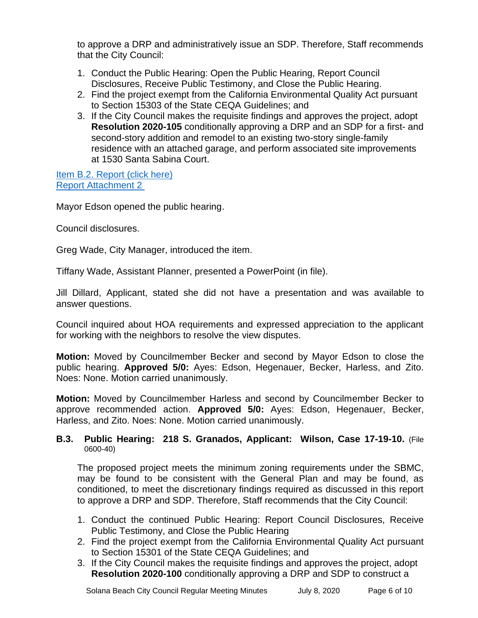to approve a DRP and administratively issue an SDP. Therefore, Staff recommends that the City Council:

- 1. Conduct the Public Hearing: Open the Public Hearing, Report Council Disclosures, Receive Public Testimony, and Close the Public Hearing.
- 2. Find the project exempt from the California Environmental Quality Act pursuant to Section 15303 of the State CEQA Guidelines; and
- 3. If the City Council makes the requisite findings and approves the project, adopt **Resolution 2020-105** conditionally approving a DRP and an SDP for a first- and second-story addition and remodel to an existing two-story single-family residence with an attached garage, and perform associated site improvements at 1530 Santa Sabina Court.

[Item B.2. Report \(click here\)](https://solanabeach.govoffice3.com/vertical/Sites/%7B840804C2-F869-4904-9AE3-720581350CE7%7D/uploads/Item_B.2._Report_(click_here)_07-02-20_Part_1.pdf) [Report Attachment 2](https://www.dropbox.com/sh/j51e0ip7j6s1s72/AACn8lpY4Xof-Mg6QqCNAKrTa?dl=0) 

Mayor Edson opened the public hearing.

Council disclosures.

Greg Wade, City Manager, introduced the item.

Tiffany Wade, Assistant Planner, presented a PowerPoint (in file).

Jill Dillard, Applicant, stated she did not have a presentation and was available to answer questions.

Council inquired about HOA requirements and expressed appreciation to the applicant for working with the neighbors to resolve the view disputes.

**Motion:** Moved by Councilmember Becker and second by Mayor Edson to close the public hearing. **Approved 5/0:** Ayes: Edson, Hegenauer, Becker, Harless, and Zito. Noes: None. Motion carried unanimously.

**Motion:** Moved by Councilmember Harless and second by Councilmember Becker to approve recommended action. **Approved 5/0:** Ayes: Edson, Hegenauer, Becker, Harless, and Zito. Noes: None. Motion carried unanimously.

#### **B.3. Public Hearing: 218 S. Granados, Applicant: Wilson, Case 17-19-10.** (File 0600-40)

The proposed project meets the minimum zoning requirements under the SBMC, may be found to be consistent with the General Plan and may be found, as conditioned, to meet the discretionary findings required as discussed in this report to approve a DRP and SDP. Therefore, Staff recommends that the City Council:

- 1. Conduct the continued Public Hearing: Report Council Disclosures, Receive Public Testimony, and Close the Public Hearing
- 2. Find the project exempt from the California Environmental Quality Act pursuant to Section 15301 of the State CEQA Guidelines; and
- 3. If the City Council makes the requisite findings and approves the project, adopt **Resolution 2020-100** conditionally approving a DRP and SDP to construct a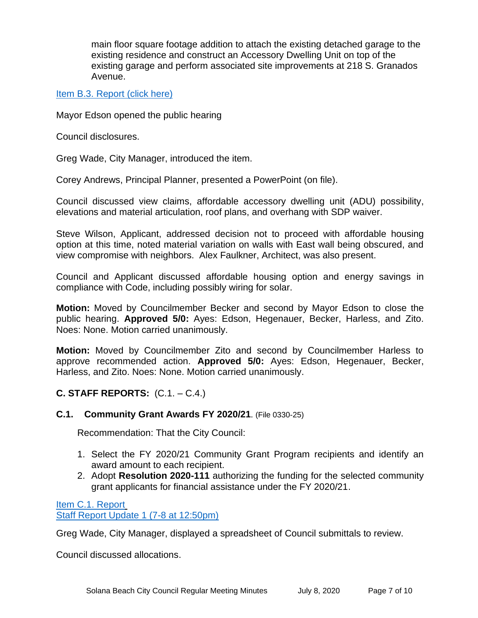main floor square footage addition to attach the existing detached garage to the existing residence and construct an Accessory Dwelling Unit on top of the existing garage and perform associated site improvements at 218 S. Granados Avenue.

[Item B.3. Report \(click here\)](https://solanabeach.govoffice3.com/vertical/Sites/%7B840804C2-F869-4904-9AE3-720581350CE7%7D/uploads/Item_B.3._Report_(click_here)_07-08-20_-_O.pdf)

Mayor Edson opened the public hearing

Council disclosures.

Greg Wade, City Manager, introduced the item.

Corey Andrews, Principal Planner, presented a PowerPoint (on file).

Council discussed view claims, affordable accessory dwelling unit (ADU) possibility, elevations and material articulation, roof plans, and overhang with SDP waiver.

Steve Wilson, Applicant, addressed decision not to proceed with affordable housing option at this time, noted material variation on walls with East wall being obscured, and view compromise with neighbors. Alex Faulkner, Architect, was also present.

Council and Applicant discussed affordable housing option and energy savings in compliance with Code, including possibly wiring for solar.

**Motion:** Moved by Councilmember Becker and second by Mayor Edson to close the public hearing. **Approved 5/0:** Ayes: Edson, Hegenauer, Becker, Harless, and Zito. Noes: None. Motion carried unanimously.

**Motion:** Moved by Councilmember Zito and second by Councilmember Harless to approve recommended action. **Approved 5/0:** Ayes: Edson, Hegenauer, Becker, Harless, and Zito. Noes: None. Motion carried unanimously.

#### **C. STAFF REPORTS:** (C.1. – C.4.)

#### **C.1. Community Grant Awards FY 2020/21**. (File 0330-25)

Recommendation: That the City Council:

- 1. Select the FY 2020/21 Community Grant Program recipients and identify an award amount to each recipient.
- 2. Adopt **Resolution 2020-111** authorizing the funding for the selected community grant applicants for financial assistance under the FY 2020/21.

[Item C.1. Report](https://solanabeach.govoffice3.com/vertical/Sites/%7B840804C2-F869-4904-9AE3-720581350CE7%7D/uploads/Item_C.1._Report_(click_here)_07-08-20_-_O.pdf) [Staff Report Update 1 \(7-8 at 12:50pm\)](https://solanabeach.govoffice3.com/vertical/Sites/%7B840804C2-F869-4904-9AE3-720581350CE7%7D/uploads/Item_C.1._Staff_Report_Update_1_(updated_7-8_at_1250pm)_-_O.pdf)

Greg Wade, City Manager, displayed a spreadsheet of Council submittals to review.

Council discussed allocations.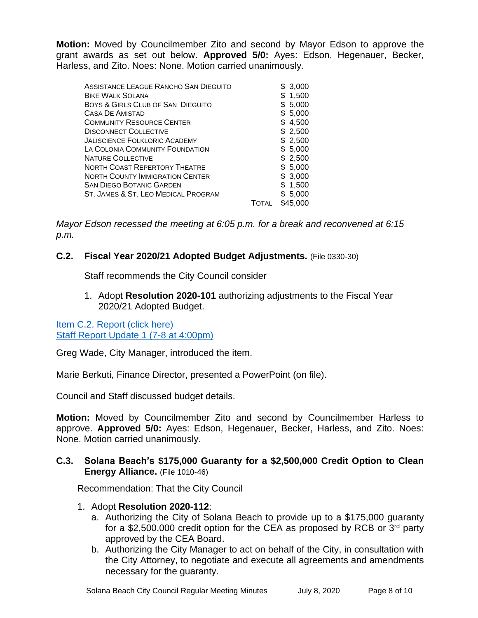**Motion:** Moved by Councilmember Zito and second by Mayor Edson to approve the grant awards as set out below. **Approved 5/0:** Ayes: Edson, Hegenauer, Becker, Harless, and Zito. Noes: None. Motion carried unanimously.

| ASSISTANCE LEAGUE RANCHO SAN DIEGUITO<br><b>BIKE WALK SOLANA</b> |              | \$ 3,000<br>\$1,500 |
|------------------------------------------------------------------|--------------|---------------------|
| BOYS & GIRLS CLUB OF SAN DIEGUITO                                |              | \$5,000             |
| <b>CASA DE AMISTAD</b>                                           |              | \$ 5,000            |
| <b>COMMUNITY RESOURCE CENTER</b>                                 |              | \$4,500             |
| <b>DISCONNECT COLLECTIVE</b>                                     |              | \$ 2,500            |
| JALISCIENCE FOLKLORIC ACADEMY                                    |              | \$2,500             |
| LA COLONIA COMMUNITY FOUNDATION                                  |              | \$5,000             |
| <b>NATURE COLLECTIVE</b>                                         |              | \$2,500             |
| <b>NORTH COAST REPERTORY THEATRE</b>                             |              | \$ 5,000            |
| <b>NORTH COUNTY IMMIGRATION CENTER</b>                           |              | \$3,000             |
| <b>SAN DIEGO BOTANIC GARDEN</b>                                  |              | \$1,500             |
| ST. JAMES & ST. LEO MEDICAL PROGRAM                              |              | \$ 5,000            |
|                                                                  | <b>TOTAL</b> | \$45,000            |

*Mayor Edson recessed the meeting at 6:05 p.m. for a break and reconvened at 6:15 p.m.*

#### **C.2. Fiscal Year 2020/21 Adopted Budget Adjustments.** (File 0330-30)

Staff recommends the City Council consider

1. Adopt **Resolution 2020-101** authorizing adjustments to the Fiscal Year 2020/21 Adopted Budget.

[Item C.2. Report \(click here\)](https://solanabeach.govoffice3.com/vertical/Sites/%7B840804C2-F869-4904-9AE3-720581350CE7%7D/uploads/Item_C_.2._Report_(click_here)_07-80-20.pdf)  [Staff Report Update 1 \(7-8 at 4:00pm\)](https://www.dropbox.com/sh/ntgh39dvzpyfe9y/AADzfrDLj7IHoqVOPoPofnmFa?dl=0)

Greg Wade, City Manager, introduced the item.

Marie Berkuti, Finance Director, presented a PowerPoint (on file).

Council and Staff discussed budget details.

**Motion:** Moved by Councilmember Zito and second by Councilmember Harless to approve. **Approved 5/0:** Ayes: Edson, Hegenauer, Becker, Harless, and Zito. Noes: None. Motion carried unanimously.

#### **C.3. Solana Beach's \$175,000 Guaranty for a \$2,500,000 Credit Option to Clean Energy Alliance.** (File 1010-46)

Recommendation: That the City Council

- 1. Adopt **Resolution 2020-112**:
	- a. Authorizing the City of Solana Beach to provide up to a \$175,000 guaranty for a \$2,500,000 credit option for the CEA as proposed by RCB or 3<sup>rd</sup> party approved by the CEA Board.
	- b. Authorizing the City Manager to act on behalf of the City, in consultation with the City Attorney, to negotiate and execute all agreements and amendments necessary for the guaranty.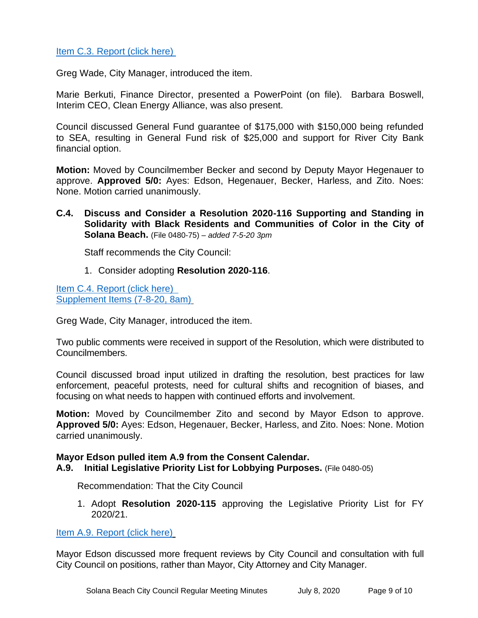#### [Item C.3. Report \(click here\)](https://solanabeach.govoffice3.com/vertical/Sites/%7B840804C2-F869-4904-9AE3-720581350CE7%7D/uploads/Item_C.3._Report_(click_here)_07-08-20_-_O.pdf)

Greg Wade, City Manager, introduced the item.

Marie Berkuti, Finance Director, presented a PowerPoint (on file). Barbara Boswell, Interim CEO, Clean Energy Alliance, was also present.

Council discussed General Fund guarantee of \$175,000 with \$150,000 being refunded to SEA, resulting in General Fund risk of \$25,000 and support for River City Bank financial option.

**Motion:** Moved by Councilmember Becker and second by Deputy Mayor Hegenauer to approve. **Approved 5/0:** Ayes: Edson, Hegenauer, Becker, Harless, and Zito. Noes: None. Motion carried unanimously.

**C.4. Discuss and Consider a Resolution 2020-116 Supporting and Standing in Solidarity with Black Residents and Communities of Color in the City of Solana Beach.** (File 0480-75) – *added 7-5-20 3pm*

Staff recommends the City Council:

1. Consider adopting **Resolution 2020-116**.

[Item C.4. Report \(click here\)](https://solanabeach.govoffice3.com/vertical/Sites/%7B840804C2-F869-4904-9AE3-720581350CE7%7D/uploads/Item_C.4._Report_(click_here)_07-08-20_-_O.pdf)  [Supplement Items \(7-8-20, 8am\)](https://www.dropbox.com/preview/Council%20Meetings/Staff%20Report%20Linked%20Documents/07-08-20%20Mtg/Blue%20Folders/C.4.%20Blue%20Folders/Item%20C.4.%20Supplemental%20Docs%20(Updated%207-8%20at%208am).pdf?role=personal)

Greg Wade, City Manager, introduced the item.

Two public comments were received in support of the Resolution, which were distributed to Councilmembers.

Council discussed broad input utilized in drafting the resolution, best practices for law enforcement, peaceful protests, need for cultural shifts and recognition of biases, and focusing on what needs to happen with continued efforts and involvement.

**Motion:** Moved by Councilmember Zito and second by Mayor Edson to approve. **Approved 5/0:** Ayes: Edson, Hegenauer, Becker, Harless, and Zito. Noes: None. Motion carried unanimously.

#### **Mayor Edson pulled item A.9 from the Consent Calendar.**

**A.9. Initial Legislative Priority List for Lobbying Purposes.** (File 0480-05)

Recommendation: That the City Council

1. Adopt **Resolution 2020-115** approving the Legislative Priority List for FY 2020/21.

[Item A.9. Report \(click here\)](https://solanabeach.govoffice3.com/vertical/Sites/%7B840804C2-F869-4904-9AE3-720581350CE7%7D/uploads/Item_A.9._Report_(click_here)_07-08-20_-_O.pdf)

Mayor Edson discussed more frequent reviews by City Council and consultation with full City Council on positions, rather than Mayor, City Attorney and City Manager.